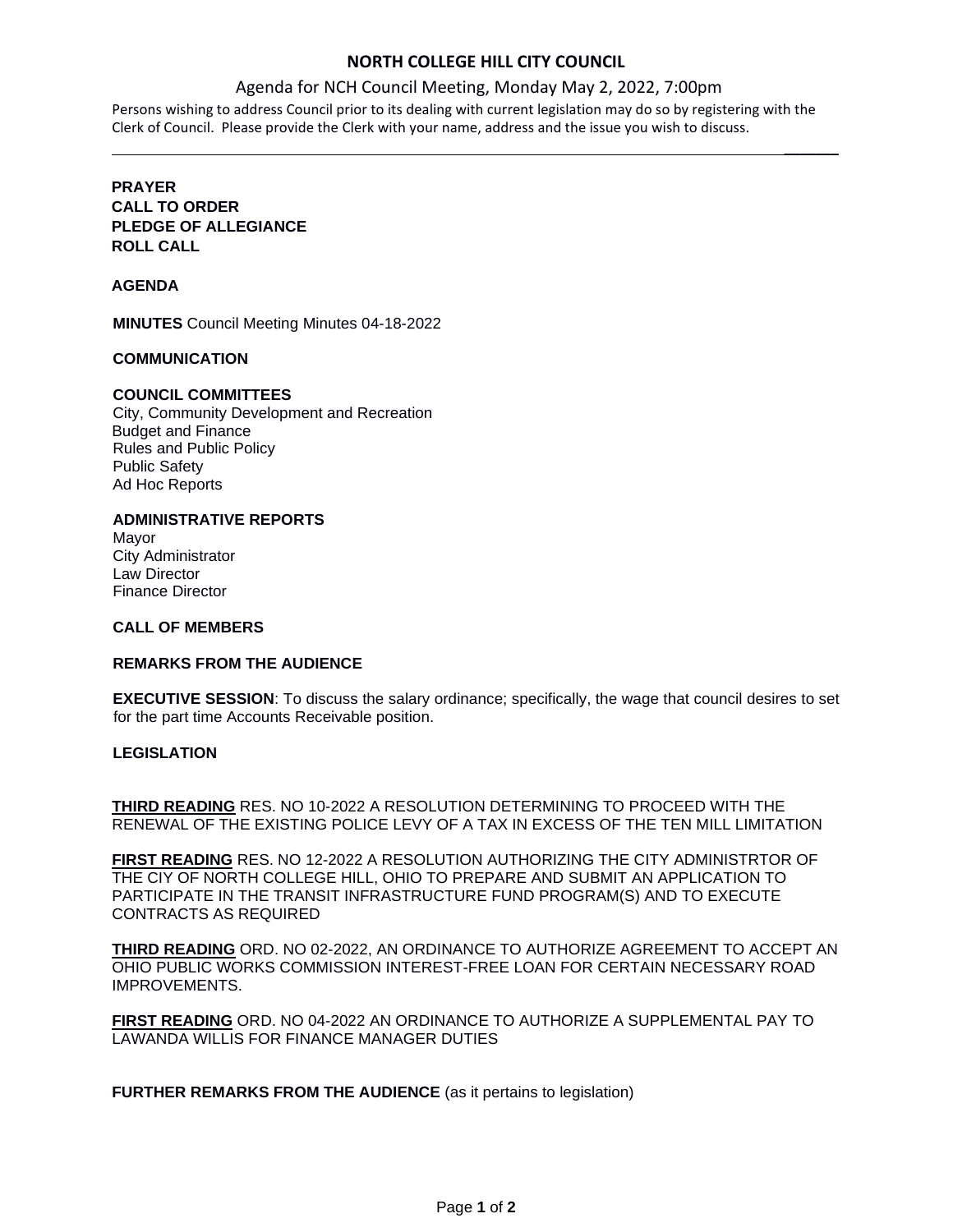# **NORTH COLLEGE HILL CITY COUNCIL**

 $\mathcal{L}$ 

## Agenda for NCH Council Meeting, Monday May 2, 2022, 7:00pm

Persons wishing to address Council prior to its dealing with current legislation may do so by registering with the Clerk of Council. Please provide the Clerk with your name, address and the issue you wish to discuss.

# **PRAYER CALL TO ORDER PLEDGE OF ALLEGIANCE ROLL CALL**

## **AGENDA**

**MINUTES** Council Meeting Minutes 04-18-2022

#### **COMMUNICATION**

## **COUNCIL COMMITTEES**

City, Community Development and Recreation Budget and Finance Rules and Public Policy Public Safety Ad Hoc Reports

# **ADMINISTRATIVE REPORTS**

Mayor City Administrator Law Director Finance Director

#### **CALL OF MEMBERS**

#### **REMARKS FROM THE AUDIENCE**

**EXECUTIVE SESSION**: To discuss the salary ordinance; specifically, the wage that council desires to set for the part time Accounts Receivable position.

## **LEGISLATION**

**THIRD READING** RES. NO 10-2022 A RESOLUTION DETERMINING TO PROCEED WITH THE RENEWAL OF THE EXISTING POLICE LEVY OF A TAX IN EXCESS OF THE TEN MILL LIMITATION

**FIRST READING** RES. NO 12-2022 A RESOLUTION AUTHORIZING THE CITY ADMINISTRTOR OF THE CIY OF NORTH COLLEGE HILL, OHIO TO PREPARE AND SUBMIT AN APPLICATION TO PARTICIPATE IN THE TRANSIT INFRASTRUCTURE FUND PROGRAM(S) AND TO EXECUTE CONTRACTS AS REQUIRED

**THIRD READING** ORD. NO 02-2022, AN ORDINANCE TO AUTHORIZE AGREEMENT TO ACCEPT AN OHIO PUBLIC WORKS COMMISSION INTEREST-FREE LOAN FOR CERTAIN NECESSARY ROAD IMPROVEMENTS.

**FIRST READING** ORD. NO 04-2022 AN ORDINANCE TO AUTHORIZE A SUPPLEMENTAL PAY TO LAWANDA WILLIS FOR FINANCE MANAGER DUTIES

**FURTHER REMARKS FROM THE AUDIENCE** (as it pertains to legislation)